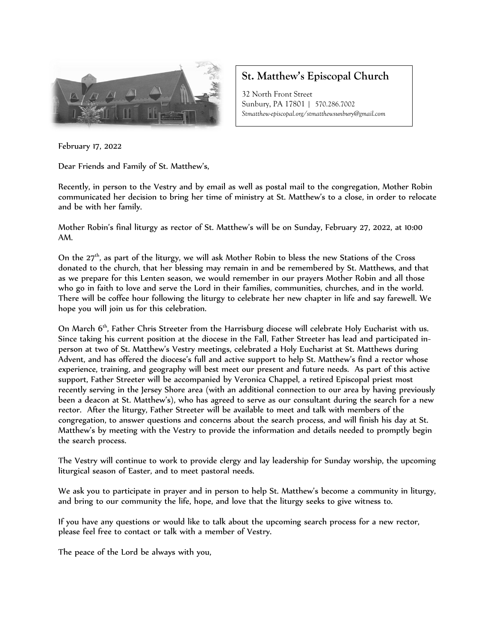

## **St. Matthew's Episcopal Church**

32 North Front Street Sunbury, PA 17801 | 570.286.7002 *Stmatthew-episcopal.org/stmatthewsunbury@gmail.com*

February 17, 2022

Dear Friends and Family of St. Matthew's,

Recently, in person to the Vestry and by email as well as postal mail to the congregation, Mother Robin communicated her decision to bring her time of ministry at St. Matthew's to a close, in order to relocate and be with her family.

Mother Robin's final liturgy as rector of St. Matthew's will be on Sunday, February 27, 2022, at 10:00 AM.

On the  $27<sup>th</sup>$ , as part of the liturgy, we will ask Mother Robin to bless the new Stations of the Cross donated to the church, that her blessing may remain in and be remembered by St. Matthews, and that as we prepare for this Lenten season, we would remember in our prayers Mother Robin and all those who go in faith to love and serve the Lord in their families, communities, churches, and in the world. There will be coffee hour following the liturgy to celebrate her new chapter in life and say farewell. We hope you will join us for this celebration.

On March 6<sup>th</sup>, Father Chris Streeter from the Harrisburg diocese will celebrate Holy Eucharist with us. Since taking his current position at the diocese in the Fall, Father Streeter has lead and participated inperson at two of St. Matthew's Vestry meetings, celebrated a Holy Eucharist at St. Matthews during Advent, and has offered the diocese's full and active support to help St. Matthew's find a rector whose experience, training, and geography will best meet our present and future needs. As part of this active support, Father Streeter will be accompanied by Veronica Chappel, a retired Episcopal priest most recently serving in the Jersey Shore area (with an additional connection to our area by having previously been a deacon at St. Matthew's), who has agreed to serve as our consultant during the search for a new rector. After the liturgy, Father Streeter will be available to meet and talk with members of the congregation, to answer questions and concerns about the search process, and will finish his day at St. Matthew's by meeting with the Vestry to provide the information and details needed to promptly begin the search process.

The Vestry will continue to work to provide clergy and lay leadership for Sunday worship, the upcoming liturgical season of Easter, and to meet pastoral needs.

We ask you to participate in prayer and in person to help St. Matthew's become a community in liturgy, and bring to our community the life, hope, and love that the liturgy seeks to give witness to.

If you have any questions or would like to talk about the upcoming search process for a new rector, please feel free to contact or talk with a member of Vestry.

The peace of the Lord be always with you,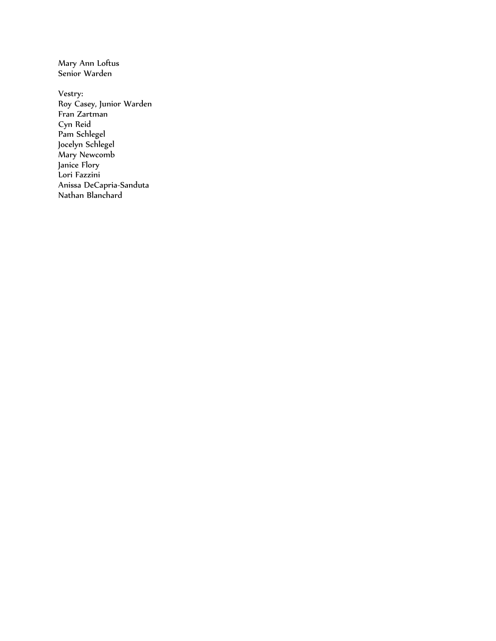Mary Ann Loftus Senior Warden

Vestry: Roy Casey, Junior Warden Fran Zartman Cyn Reid Pam Schlegel Jocelyn Schlegel Mary Newcomb Janice Flory Lori Fazzini Anissa DeCapria-Sanduta Nathan Blanchard